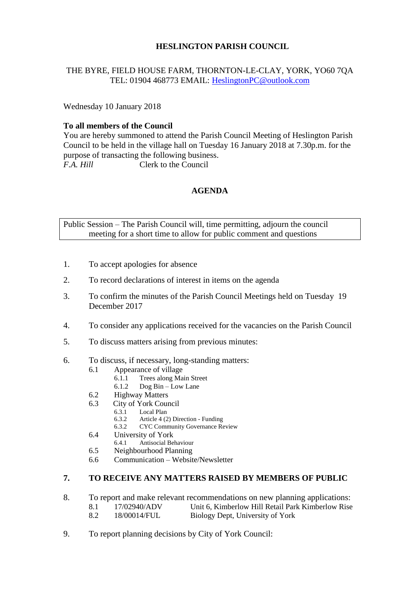# **HESLINGTON PARISH COUNCIL**

# THE BYRE, FIELD HOUSE FARM, THORNTON-LE-CLAY, YORK, YO60 7QA TEL: 01904 468773 EMAIL: [HeslingtonPC@outlook.com](mailto:HeslingtonPC@outlook.com)

Wednesday 10 January 2018

## **To all members of the Council**

You are hereby summoned to attend the Parish Council Meeting of Heslington Parish Council to be held in the village hall on Tuesday 16 January 2018 at 7.30p.m. for the purpose of transacting the following business. *F.A. Hill* Clerk to the Council

## **AGENDA**

Public Session – The Parish Council will, time permitting, adjourn the council meeting for a short time to allow for public comment and questions

- 1. To accept apologies for absence
- 2. To record declarations of interest in items on the agenda
- 3. To confirm the minutes of the Parish Council Meetings held on Tuesday 19 December 2017
- 4. To consider any applications received for the vacancies on the Parish Council
- 5. To discuss matters arising from previous minutes:
- 6. To discuss, if necessary, long-standing matters:
	- 6.1 Appearance of village
		- 6.1.1 Trees along Main Street
		- 6.1.2 Dog Bin Low Lane
	- 6.2 Highway Matters
	- 6.3 City of York Council<br>6.3.1 Local Plan
		- 6.3.1 Local Plan<br>6.3.2 Article 4 (2)
		- 6.3.2 Article 4 (2) Direction Funding
		- 6.3.2 CYC Community Governance Review
	- 6.4 University of York<br>6.4.1 Antisocial Be
	- 6.4.1 Antisocial Behaviour
	- 6.5 Neighbourhood Planning
	- 6.6 Communication Website/Newsletter

### **7. TO RECEIVE ANY MATTERS RAISED BY MEMBERS OF PUBLIC**

- 8. To report and make relevant recommendations on new planning applications:
	- 8.1 17/02940/ADV Unit 6, Kimberlow Hill Retail Park Kimberlow Rise
	- 8.2 18/00014/FUL Biology Dept, University of York
- 9. To report planning decisions by City of York Council: